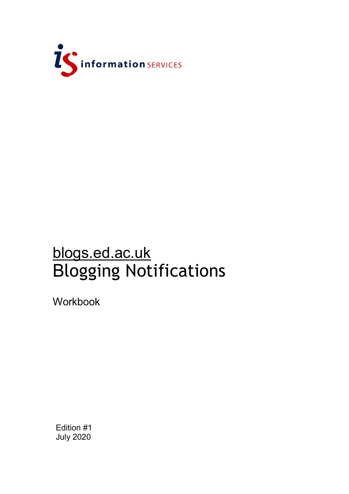

## blogs.ed.ac.uk Blogging Notifications

Workbook

Edition #1 July 2020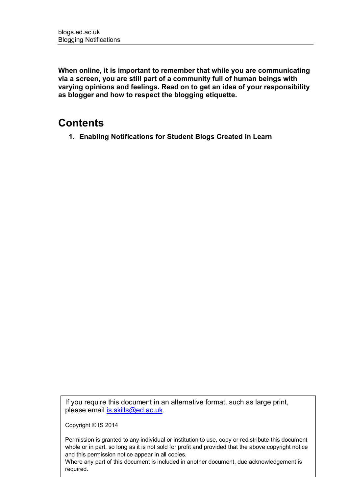**When online, it is important to remember that while you are communicating via a screen, you are still part of a community full of human beings with varying opinions and feelings. Read on to get an idea of your responsibility as blogger and how to respect the blogging etiquette.**

## **Contents**

**1. Enabling Notifications for Student Blogs Created in Learn**

If you require this document in an alternative format, such as large print, please email [is.skills@ed.ac.uk.](mailto:is.skills@ed.ac.uk)

Copyright © IS 2014

Permission is granted to any individual or institution to use, copy or redistribute this document whole or in part, so long as it is not sold for profit and provided that the above copyright notice and this permission notice appear in all copies.

Where any part of this document is included in another document, due acknowledgement is required.